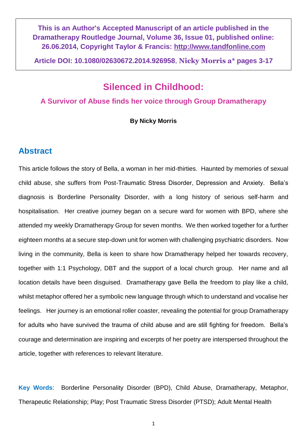# **This is an Author's Accepted Manuscript of an article published in the Dramatherapy Routledge Journal, Volume 36, Issue 01, published online: 26.06.2014, Copyright Taylor & Francis: [http://www.tandfonline.com](http://www.tandfonline.com/)**

**Article DOI: 10.1080/02630672.2014.926958**, **Nicky Morris a\* pages 3-17**

# **Silenced in Childhood:**

### **A Survivor of Abuse finds her voice through Group Dramatherapy**

### **By Nicky Morris**

# **Abstract**

This article follows the story of Bella, a woman in her mid-thirties. Haunted by memories of sexual child abuse, she suffers from Post-Traumatic Stress Disorder, Depression and Anxiety. Bella's diagnosis is Borderline Personality Disorder, with a long history of serious self-harm and hospitalisation. Her creative journey began on a secure ward for women with BPD, where she attended my weekly Dramatherapy Group for seven months. We then worked together for a further eighteen months at a secure step-down unit for women with challenging psychiatric disorders. Now living in the community, Bella is keen to share how Dramatherapy helped her towards recovery, together with 1:1 Psychology, DBT and the support of a local church group. Her name and all location details have been disguised. Dramatherapy gave Bella the freedom to play like a child, whilst metaphor offered her a symbolic new language through which to understand and vocalise her feelings. Her journey is an emotional roller coaster, revealing the potential for group Dramatherapy for adults who have survived the trauma of child abuse and are still fighting for freedom. Bella's courage and determination are inspiring and excerpts of her poetry are interspersed throughout the article, together with references to relevant literature.

**Key Words**: Borderline Personality Disorder (BPD), Child Abuse, Dramatherapy, Metaphor, Therapeutic Relationship; Play; Post Traumatic Stress Disorder (PTSD); Adult Mental Health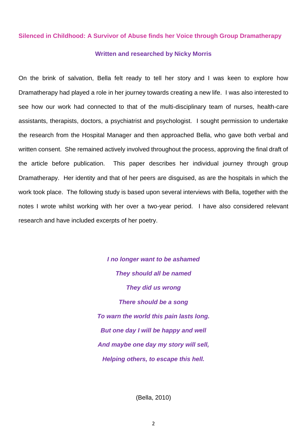#### **Silenced in Childhood: A Survivor of Abuse finds her Voice through Group Dramatherapy**

#### **Written and researched by Nicky Morris**

On the brink of salvation, Bella felt ready to tell her story and I was keen to explore how Dramatherapy had played a role in her journey towards creating a new life. I was also interested to see how our work had connected to that of the multi-disciplinary team of nurses, health-care assistants, therapists, doctors, a psychiatrist and psychologist. I sought permission to undertake the research from the Hospital Manager and then approached Bella, who gave both verbal and written consent. She remained actively involved throughout the process, approving the final draft of the article before publication. This paper describes her individual journey through group Dramatherapy. Her identity and that of her peers are disguised, as are the hospitals in which the work took place. The following study is based upon several interviews with Bella, together with the notes I wrote whilst working with her over a two-year period. I have also considered relevant research and have included excerpts of her poetry.

> *I no longer want to be ashamed They should all be named They did us wrong There should be a song To warn the world this pain lasts long. But one day I will be happy and well And maybe one day my story will sell, Helping others, to escape this hell.*

> > (Bella, 2010)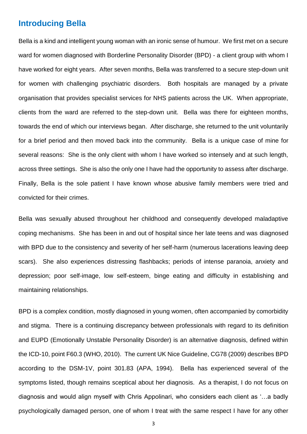# **Introducing Bella**

Bella is a kind and intelligent young woman with an ironic sense of humour. We first met on a secure ward for women diagnosed with Borderline Personality Disorder (BPD) - a client group with whom I have worked for eight years. After seven months, Bella was transferred to a secure step-down unit for women with challenging psychiatric disorders. Both hospitals are managed by a private organisation that provides specialist services for NHS patients across the UK. When appropriate, clients from the ward are referred to the step-down unit. Bella was there for eighteen months, towards the end of which our interviews began. After discharge, she returned to the unit voluntarily for a brief period and then moved back into the community. Bella is a unique case of mine for several reasons: She is the only client with whom I have worked so intensely and at such length, across three settings. She is also the only one I have had the opportunity to assess after discharge. Finally, Bella is the sole patient I have known whose abusive family members were tried and convicted for their crimes.

Bella was sexually abused throughout her childhood and consequently developed maladaptive coping mechanisms. She has been in and out of hospital since her late teens and was diagnosed with BPD due to the consistency and severity of her self-harm (numerous lacerations leaving deep scars). She also experiences distressing flashbacks; periods of intense paranoia, anxiety and depression; poor self-image, low self-esteem, binge eating and difficulty in establishing and maintaining relationships.

BPD is a complex condition, mostly diagnosed in young women, often accompanied by comorbidity and stigma. There is a continuing discrepancy between professionals with regard to its definition and EUPD (Emotionally Unstable Personality Disorder) is an alternative diagnosis, defined within the ICD-10, point F60.3 (WHO, 2010). The current UK Nice Guideline, CG78 (2009) describes BPD according to the DSM-1V, point 301.83 (APA, 1994). Bella has experienced several of the symptoms listed, though remains sceptical about her diagnosis. As a therapist, I do not focus on diagnosis and would align myself with Chris Appolinari, who considers each client as '…a badly psychologically damaged person, one of whom I treat with the same respect I have for any other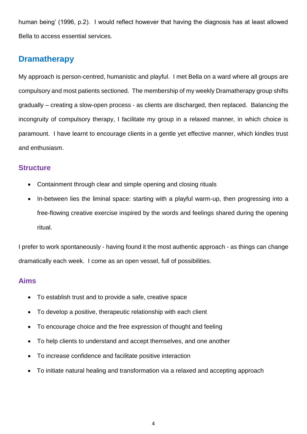human being' (1996, p.2). I would reflect however that having the diagnosis has at least allowed Bella to access essential services.

# **Dramatherapy**

My approach is person-centred, humanistic and playful. I met Bella on a ward where all groups are compulsory and most patients sectioned. The membership of my weekly Dramatherapy group shifts gradually – creating a slow-open process - as clients are discharged, then replaced. Balancing the incongruity of compulsory therapy, I facilitate my group in a relaxed manner, in which choice is paramount. I have learnt to encourage clients in a gentle yet effective manner, which kindles trust and enthusiasm.

# **Structure**

- Containment through clear and simple opening and closing rituals
- In-between lies the liminal space: starting with a playful warm-up, then progressing into a free-flowing creative exercise inspired by the words and feelings shared during the opening ritual.

I prefer to work spontaneously - having found it the most authentic approach - as things can change dramatically each week. I come as an open vessel, full of possibilities.

# **Aims**

- To establish trust and to provide a safe, creative space
- To develop a positive, therapeutic relationship with each client
- To encourage choice and the free expression of thought and feeling
- To help clients to understand and accept themselves, and one another
- To increase confidence and facilitate positive interaction
- To initiate natural healing and transformation via a relaxed and accepting approach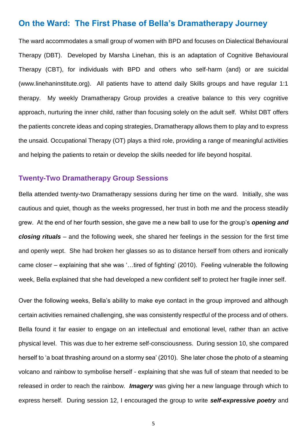# **On the Ward: The First Phase of Bella's Dramatherapy Journey**

The ward accommodates a small group of women with BPD and focuses on Dialectical Behavioural Therapy (DBT). Developed by Marsha Linehan, this is an adaptation of Cognitive Behavioural Therapy (CBT), for individuals with BPD and others who self-harm (and) or are suicidal (www.linehaninstitute.org). All patients have to attend daily Skills groups and have regular 1:1 therapy. My weekly Dramatherapy Group provides a creative balance to this very cognitive approach, nurturing the inner child, rather than focusing solely on the adult self. Whilst DBT offers the patients concrete ideas and coping strategies, Dramatherapy allows them to play and to express the unsaid. Occupational Therapy (OT) plays a third role, providing a range of meaningful activities and helping the patients to retain or develop the skills needed for life beyond hospital.

### **Twenty-Two Dramatherapy Group Sessions**

Bella attended twenty-two Dramatherapy sessions during her time on the ward. Initially, she was cautious and quiet, though as the weeks progressed, her trust in both me and the process steadily grew. At the end of her fourth session, she gave me a new ball to use for the group's *opening and closing rituals* – and the following week, she shared her feelings in the session for the first time and openly wept. She had broken her glasses so as to distance herself from others and ironically came closer – explaining that she was '…tired of fighting' (2010). Feeling vulnerable the following week, Bella explained that she had developed a new confident self to protect her fragile inner self.

Over the following weeks, Bella's ability to make eye contact in the group improved and although certain activities remained challenging, she was consistently respectful of the process and of others. Bella found it far easier to engage on an intellectual and emotional level, rather than an active physical level. This was due to her extreme self-consciousness. During session 10, she compared herself to 'a boat thrashing around on a stormy sea' (2010). She later chose the photo of a steaming volcano and rainbow to symbolise herself - explaining that she was full of steam that needed to be released in order to reach the rainbow. *Imagery* was giving her a new language through which to express herself. During session 12, I encouraged the group to write *self-expressive poetry* and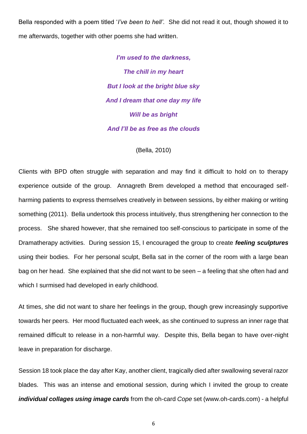Bella responded with a poem titled '*I've been to hell'*. She did not read it out, though showed it to me afterwards, together with other poems she had written.

> *I'm used to the darkness, The chill in my heart But I look at the bright blue sky And I dream that one day my life Will be as bright And I'll be as free as the clouds*

#### (Bella, 2010)

Clients with BPD often struggle with separation and may find it difficult to hold on to therapy experience outside of the group. Annagreth Brem developed a method that encouraged selfharming patients to express themselves creatively in between sessions, by either making or writing something (2011). Bella undertook this process intuitively, thus strengthening her connection to the process. She shared however, that she remained too self-conscious to participate in some of the Dramatherapy activities. During session 15, I encouraged the group to create *feeling sculptures* using their bodies. For her personal sculpt, Bella sat in the corner of the room with a large bean bag on her head. She explained that she did not want to be seen – a feeling that she often had and which I surmised had developed in early childhood.

At times, she did not want to share her feelings in the group, though grew increasingly supportive towards her peers. Her mood fluctuated each week, as she continued to supress an inner rage that remained difficult to release in a non-harmful way. Despite this, Bella began to have over-night leave in preparation for discharge.

Session 18 took place the day after Kay, another client, tragically died after swallowing several razor blades. This was an intense and emotional session, during which I invited the group to create *individual collages using image cards* from the oh-card *Cope* set (www.oh-cards.com) - a helpful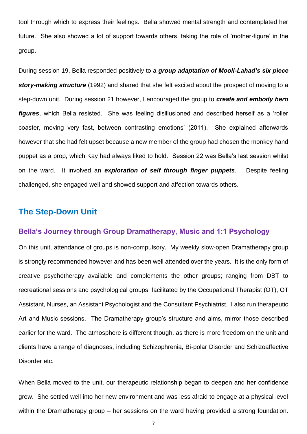tool through which to express their feelings. Bella showed mental strength and contemplated her future. She also showed a lot of support towards others, taking the role of 'mother-figure' in the group.

During session 19, Bella responded positively to a *group adaptation of Mooli-Lahad's six piece story-making structure* (1992) and shared that she felt excited about the prospect of moving to a step-down unit. During session 21 however, I encouraged the group to *create and embody hero figures*, which Bella resisted. She was feeling disillusioned and described herself as a 'roller coaster, moving very fast, between contrasting emotions' (2011). She explained afterwards however that she had felt upset because a new member of the group had chosen the monkey hand puppet as a prop, which Kay had always liked to hold. Session 22 was Bella's last session whilst on the ward. It involved an *exploration of self through finger puppets*. Despite feeling challenged, she engaged well and showed support and affection towards others.

# **The Step-Down Unit**

### **Bella's Journey through Group Dramatherapy, Music and 1:1 Psychology**

On this unit, attendance of groups is non-compulsory. My weekly slow-open Dramatherapy group is strongly recommended however and has been well attended over the years. It is the only form of creative psychotherapy available and complements the other groups; ranging from DBT to recreational sessions and psychological groups; facilitated by the Occupational Therapist (OT), OT Assistant, Nurses, an Assistant Psychologist and the Consultant Psychiatrist. I also run therapeutic Art and Music sessions. The Dramatherapy group's structure and aims, mirror those described earlier for the ward. The atmosphere is different though, as there is more freedom on the unit and clients have a range of diagnoses, including Schizophrenia, Bi-polar Disorder and Schizoaffective Disorder etc.

When Bella moved to the unit, our therapeutic relationship began to deepen and her confidence grew. She settled well into her new environment and was less afraid to engage at a physical level within the Dramatherapy group – her sessions on the ward having provided a strong foundation.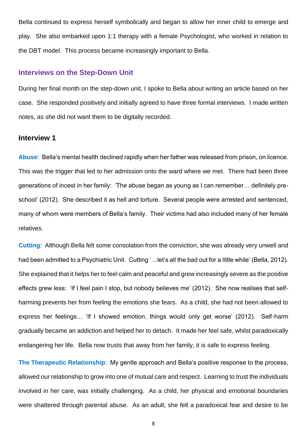Bella continued to express herself symbolically and began to allow her inner child to emerge and play. She also embarked upon 1:1 therapy with a female Psychologist, who worked in relation to the DBT model. This process became increasingly important to Bella.

### **Interviews on the Step-Down Unit**

During her final month on the step-down unit, I spoke to Bella about writing an article based on her case. She responded positively and initially agreed to have three formal interviews. I made written notes, as she did not want them to be digitally recorded.

### **Interview 1**

**Abuse**: Bella's mental health declined rapidly when her father was released from prison, on licence. This was the trigger that led to her admission onto the ward where we met. There had been three generations of incest in her family: 'The abuse began as young as I can remember… definitely preschool' (2012). She described it as hell and torture. Several people were arrested and sentenced, many of whom were members of Bella's family. Their victims had also included many of her female relatives.

**Cutting**: Although Bella felt some consolation from the conviction, she was already very unwell and had been admitted to a Psychiatric Unit. Cutting '... let's all the bad out for a little while' (Bella, 2012). She explained that it helps her to feel calm and peaceful and grew increasingly severe as the positive effects grew less: 'If I feel pain I stop, but nobody believes me' (2012). She now realises that selfharming prevents her from feeling the emotions she fears. As a child, she had not been allowed to express her feelings… 'If I showed emotion, things would only get worse' (2012). Self-harm gradually became an addiction and helped her to detach. It made her feel safe, whilst paradoxically endangering her life. Bella now trusts that away from her family, it is safe to express feeling.

**The Therapeutic Relationship**: My gentle approach and Bella's positive response to the process, allowed our relationship to grow into one of mutual care and respect. Learning to trust the individuals involved in her care, was initially challenging. As a child, her physical and emotional boundaries were shattered through parental abuse. As an adult, she felt a paradoxical fear and desire to be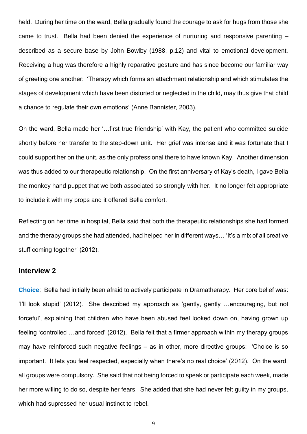held. During her time on the ward, Bella gradually found the courage to ask for hugs from those she came to trust. Bella had been denied the experience of nurturing and responsive parenting – described as a secure base by John Bowlby (1988, p.12) and vital to emotional development. Receiving a hug was therefore a highly reparative gesture and has since become our familiar way of greeting one another: 'Therapy which forms an attachment relationship and which stimulates the stages of development which have been distorted or neglected in the child, may thus give that child a chance to regulate their own emotions' (Anne Bannister, 2003).

On the ward, Bella made her '…first true friendship' with Kay, the patient who committed suicide shortly before her transfer to the step-down unit. Her grief was intense and it was fortunate that I could support her on the unit, as the only professional there to have known Kay. Another dimension was thus added to our therapeutic relationship. On the first anniversary of Kay's death, I gave Bella the monkey hand puppet that we both associated so strongly with her. It no longer felt appropriate to include it with my props and it offered Bella comfort.

Reflecting on her time in hospital, Bella said that both the therapeutic relationships she had formed and the therapy groups she had attended, had helped her in different ways… 'It's a mix of all creative stuff coming together' (2012).

### **Interview 2**

**Choice**: Bella had initially been afraid to actively participate in Dramatherapy. Her core belief was: 'I'll look stupid' (2012). She described my approach as 'gently, gently …encouraging, but not forceful', explaining that children who have been abused feel looked down on, having grown up feeling 'controlled …and forced' (2012). Bella felt that a firmer approach within my therapy groups may have reinforced such negative feelings – as in other, more directive groups: 'Choice is so important. It lets you feel respected, especially when there's no real choice' (2012). On the ward, all groups were compulsory. She said that not being forced to speak or participate each week, made her more willing to do so, despite her fears. She added that she had never felt guilty in my groups, which had supressed her usual instinct to rebel.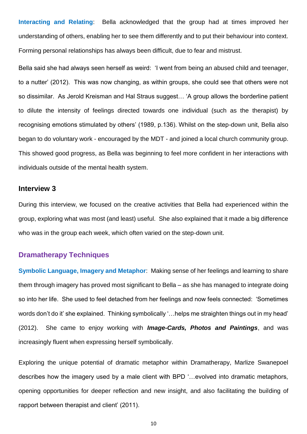**Interacting and Relating**: Bella acknowledged that the group had at times improved her understanding of others, enabling her to see them differently and to put their behaviour into context. Forming personal relationships has always been difficult, due to fear and mistrust.

Bella said she had always seen herself as weird: 'I went from being an abused child and teenager, to a nutter' (2012). This was now changing, as within groups, she could see that others were not so dissimilar. As Jerold Kreisman and Hal Straus suggest… 'A group allows the borderline patient to dilute the intensity of feelings directed towards one individual (such as the therapist) by recognising emotions stimulated by others' (1989, p.136). Whilst on the step-down unit, Bella also began to do voluntary work - encouraged by the MDT - and joined a local church community group. This showed good progress, as Bella was beginning to feel more confident in her interactions with individuals outside of the mental health system.

### **Interview 3**

During this interview, we focused on the creative activities that Bella had experienced within the group, exploring what was most (and least) useful. She also explained that it made a big difference who was in the group each week, which often varied on the step-down unit.

## **Dramatherapy Techniques**

**Symbolic Language, Imagery and Metaphor**: Making sense of her feelings and learning to share them through imagery has proved most significant to Bella – as she has managed to integrate doing so into her life. She used to feel detached from her feelings and now feels connected: 'Sometimes words don't do it' she explained. Thinking symbolically '…helps me straighten things out in my head' (2012). She came to enjoy working with *Image-Cards, Photos and Paintings*, and was increasingly fluent when expressing herself symbolically.

Exploring the unique potential of dramatic metaphor within Dramatherapy, Marlize Swanepoel describes how the imagery used by a male client with BPD '…evolved into dramatic metaphors, opening opportunities for deeper reflection and new insight, and also facilitating the building of rapport between therapist and client' (2011).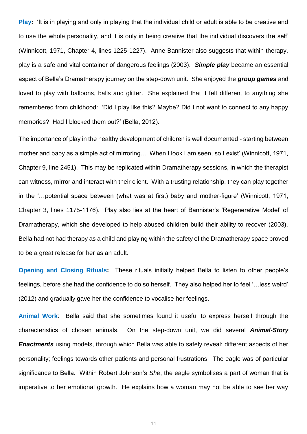**Play:** 'It is in playing and only in playing that the individual child or adult is able to be creative and to use the whole personality, and it is only in being creative that the individual discovers the self' (Winnicott, 1971, Chapter 4, lines 1225-1227). Anne Bannister also suggests that within therapy, play is a safe and vital container of dangerous feelings (2003).*Simple play* became an essential aspect of Bella's Dramatherapy journey on the step-down unit. She enjoyed the *group games* and loved to play with balloons, balls and glitter. She explained that it felt different to anything she remembered from childhood: 'Did I play like this? Maybe? Did I not want to connect to any happy memories? Had I blocked them out?' (Bella, 2012).

The importance of play in the healthy development of children is well documented - starting between mother and baby as a simple act of mirroring… 'When I look I am seen, so I exist' (Winnicott, 1971, Chapter 9, line 2451). This may be replicated within Dramatherapy sessions, in which the therapist can witness, mirror and interact with their client. With a trusting relationship, they can play together in the '…potential space between (what was at first) baby and mother-figure' (Winnicott, 1971, Chapter 3, lines 1175-1176). Play also lies at the heart of Bannister's 'Regenerative Model' of Dramatherapy, which she developed to help abused children build their ability to recover (2003). Bella had not had therapy as a child and playing within the safety of the Dramatherapy space proved to be a great release for her as an adult.

**Opening and Closing Rituals:** These rituals initially helped Bella to listen to other people's feelings, before she had the confidence to do so herself. They also helped her to feel '…less weird' (2012) and gradually gave her the confidence to vocalise her feelings.

**Animal Work**: Bella said that she sometimes found it useful to express herself through the characteristics of chosen animals. On the step-down unit, we did several *Animal-Story Enactments* using models, through which Bella was able to safely reveal: different aspects of her personality; feelings towards other patients and personal frustrations. The eagle was of particular significance to Bella. Within Robert Johnson's *She*, the eagle symbolises a part of woman that is imperative to her emotional growth. He explains how a woman may not be able to see her way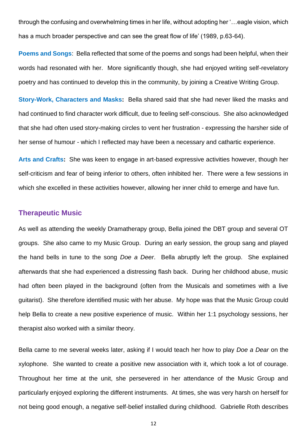through the confusing and overwhelming times in her life, without adopting her '…eagle vision, which has a much broader perspective and can see the great flow of life' (1989, p.63-64).

**Poems and Songs**: Bella reflected that some of the poems and songs had been helpful, when their words had resonated with her. More significantly though, she had enjoyed writing self-revelatory poetry and has continued to develop this in the community, by joining a Creative Writing Group.

**Story-Work, Characters and Masks:** Bella shared said that she had never liked the masks and had continued to find character work difficult, due to feeling self-conscious. She also acknowledged that she had often used story-making circles to vent her frustration - expressing the harsher side of her sense of humour - which I reflected may have been a necessary and cathartic experience.

**Arts and Crafts:** She was keen to engage in art-based expressive activities however, though her self-criticism and fear of being inferior to others, often inhibited her. There were a few sessions in which she excelled in these activities however, allowing her inner child to emerge and have fun.

### **Therapeutic Music**

As well as attending the weekly Dramatherapy group, Bella joined the DBT group and several OT groups. She also came to my Music Group. During an early session, the group sang and played the hand bells in tune to the song *Doe a Deer*. Bella abruptly left the group. She explained afterwards that she had experienced a distressing flash back. During her childhood abuse, music had often been played in the background (often from the Musicals and sometimes with a live guitarist). She therefore identified music with her abuse. My hope was that the Music Group could help Bella to create a new positive experience of music. Within her 1:1 psychology sessions, her therapist also worked with a similar theory.

Bella came to me several weeks later, asking if I would teach her how to play *Doe a Dear* on the xylophone. She wanted to create a positive new association with it, which took a lot of courage. Throughout her time at the unit, she persevered in her attendance of the Music Group and particularly enjoyed exploring the different instruments. At times, she was very harsh on herself for not being good enough, a negative self-belief installed during childhood. Gabrielle Roth describes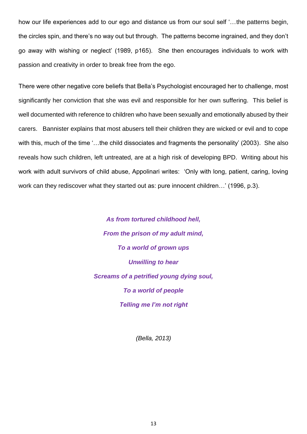how our life experiences add to our ego and distance us from our soul self '…the patterns begin, the circles spin, and there's no way out but through. The patterns become ingrained, and they don't go away with wishing or neglect' (1989, p165). She then encourages individuals to work with passion and creativity in order to break free from the ego.

There were other negative core beliefs that Bella's Psychologist encouraged her to challenge, most significantly her conviction that she was evil and responsible for her own suffering. This belief is well documented with reference to children who have been sexually and emotionally abused by their carers. Bannister explains that most abusers tell their children they are wicked or evil and to cope with this, much of the time '…the child dissociates and fragments the personality' (2003). She also reveals how such children, left untreated, are at a high risk of developing BPD. Writing about his work with adult survivors of child abuse, Appolinari writes: 'Only with long, patient, caring, loving work can they rediscover what they started out as: pure innocent children…' (1996, p.3).

> *As from tortured childhood hell, From the prison of my adult mind, To a world of grown ups Unwilling to hear Screams of a petrified young dying soul, To a world of people Telling me I'm not right*

> > *(Bella, 2013)*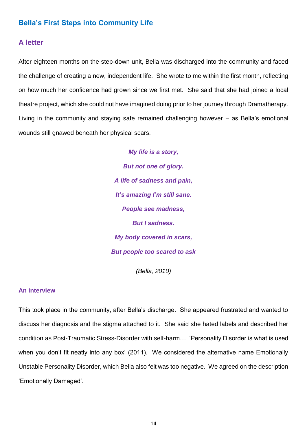# **Bella's First Steps into Community Life**

### **A letter**

After eighteen months on the step-down unit, Bella was discharged into the community and faced the challenge of creating a new, independent life. She wrote to me within the first month, reflecting on how much her confidence had grown since we first met. She said that she had joined a local theatre project, which she could not have imagined doing prior to her journey through Dramatherapy. Living in the community and staying safe remained challenging however – as Bella's emotional wounds still gnawed beneath her physical scars.

> *My life is a story, But not one of glory. A life of sadness and pain, It's amazing I'm still sane. People see madness, But I sadness. My body covered in scars, But people too scared to ask*

> > *(Bella, 2010)*

### **An interview**

This took place in the community, after Bella's discharge. She appeared frustrated and wanted to discuss her diagnosis and the stigma attached to it. She said she hated labels and described her condition as Post-Traumatic Stress-Disorder with self-harm… 'Personality Disorder is what is used when you don't fit neatly into any box' (2011). We considered the alternative name Emotionally Unstable Personality Disorder, which Bella also felt was too negative. We agreed on the description 'Emotionally Damaged'.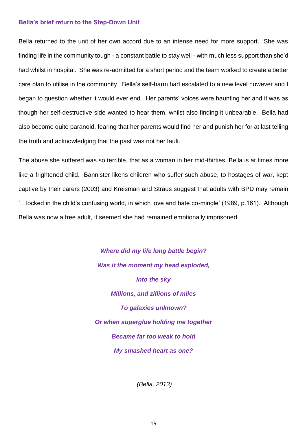#### **Bella's brief return to the Step-Down Unit**

Bella returned to the unit of her own accord due to an intense need for more support. She was finding life in the community tough - a constant battle to stay well - with much less support than she'd had whilst in hospital. She was re-admitted for a short period and the team worked to create a better care plan to utilise in the community. Bella's self-harm had escalated to a new level however and I began to question whether it would ever end. Her parents' voices were haunting her and it was as though her self-destructive side wanted to hear them, whilst also finding it unbearable. Bella had also become quite paranoid, fearing that her parents would find her and punish her for at last telling the truth and acknowledging that the past was not her fault.

The abuse she suffered was so terrible, that as a woman in her mid-thirties, Bella is at times more like a frightened child. Bannister likens children who suffer such abuse, to hostages of war, kept captive by their carers (2003) and Kreisman and Straus suggest that adults with BPD may remain '…locked in the child's confusing world, in which love and hate co-mingle' (1989, p.161). Although Bella was now a free adult, it seemed she had remained emotionally imprisoned.

> *Where did my life long battle begin? Was it the moment my head exploded, Into the sky Millions, and zillions of miles To galaxies unknown? Or when superglue holding me together Became far too weak to hold My smashed heart as one?*

> > *(Bella, 2013)*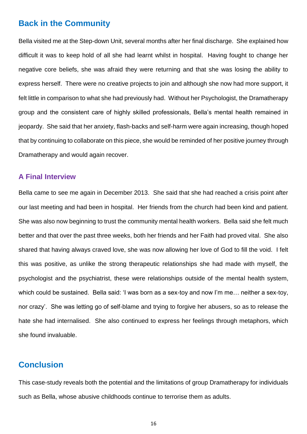# **Back in the Community**

Bella visited me at the Step-down Unit, several months after her final discharge. She explained how difficult it was to keep hold of all she had learnt whilst in hospital. Having fought to change her negative core beliefs, she was afraid they were returning and that she was losing the ability to express herself. There were no creative projects to join and although she now had more support, it felt little in comparison to what she had previously had. Without her Psychologist, the Dramatherapy group and the consistent care of highly skilled professionals, Bella's mental health remained in jeopardy. She said that her anxiety, flash-backs and self-harm were again increasing, though hoped that by continuing to collaborate on this piece, she would be reminded of her positive journey through Dramatherapy and would again recover.

### **A Final Interview**

Bella came to see me again in December 2013. She said that she had reached a crisis point after our last meeting and had been in hospital. Her friends from the church had been kind and patient. She was also now beginning to trust the community mental health workers. Bella said she felt much better and that over the past three weeks, both her friends and her Faith had proved vital. She also shared that having always craved love, she was now allowing her love of God to fill the void. I felt this was positive, as unlike the strong therapeutic relationships she had made with myself, the psychologist and the psychiatrist, these were relationships outside of the mental health system, which could be sustained. Bella said: 'I was born as a sex-toy and now I'm me… neither a sex-toy, nor crazy'. She was letting go of self-blame and trying to forgive her abusers, so as to release the hate she had internalised. She also continued to express her feelings through metaphors, which she found invaluable.

# **Conclusion**

This case-study reveals both the potential and the limitations of group Dramatherapy for individuals such as Bella, whose abusive childhoods continue to terrorise them as adults.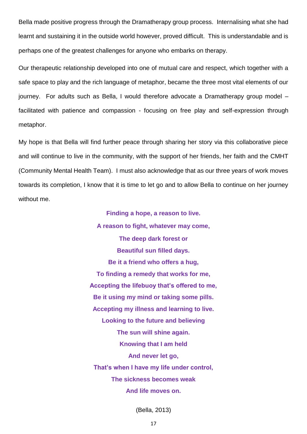Bella made positive progress through the Dramatherapy group process. Internalising what she had learnt and sustaining it in the outside world however, proved difficult. This is understandable and is perhaps one of the greatest challenges for anyone who embarks on therapy.

Our therapeutic relationship developed into one of mutual care and respect, which together with a safe space to play and the rich language of metaphor, became the three most vital elements of our journey. For adults such as Bella, I would therefore advocate a Dramatherapy group model – facilitated with patience and compassion - focusing on free play and self-expression through metaphor.

My hope is that Bella will find further peace through sharing her story via this collaborative piece and will continue to live in the community, with the support of her friends, her faith and the CMHT (Community Mental Health Team). I must also acknowledge that as our three years of work moves towards its completion, I know that it is time to let go and to allow Bella to continue on her journey without me.

# **Finding a hope, a reason to live. A reason to fight, whatever may come, The deep dark forest or Beautiful sun filled days. Be it a friend who offers a hug, To finding a remedy that works for me, Accepting the lifebuoy that's offered to me, Be it using my mind or taking some pills. Accepting my illness and learning to live. Looking to the future and believing The sun will shine again. Knowing that I am held And never let go, That's when I have my life under control, The sickness becomes weak And life moves on.**

(Bella, 2013)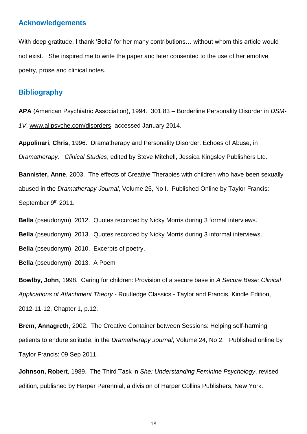# **Acknowledgements**

With deep gratitude, I thank 'Bella' for her many contributions… without whom this article would not exist. She inspired me to write the paper and later consented to the use of her emotive poetry, prose and clinical notes.

### **Bibliography**

**APA** (American Psychiatric Association), 1994. 301.83 – Borderline Personality Disorder in *DSM-1V*, [www.allpsyche.com/disorders](http://www.allpsyche.com/disorders) accessed January 2014.

**Appolinari, Chris**, 1996. Dramatherapy and Personality Disorder: Echoes of Abuse, in *Dramatherapy: Clinical Studies*, edited by Steve Mitchell, Jessica Kingsley Publishers Ltd.

**Bannister, Anne**, 2003. The effects of Creative Therapies with children who have been sexually abused in the *Dramatherapy Journal*, Volume 25, No I. Published Online by Taylor Francis: September 9<sup>th</sup> 2011.

**Bella** (pseudonym), 2012. Quotes recorded by Nicky Morris during 3 formal interviews.

**Bella** (pseudonym), 2013. Quotes recorded by Nicky Morris during 3 informal interviews.

**Bella** (pseudonym), 2010. Excerpts of poetry.

**Bella** (pseudonym), 2013. A Poem

**Bowlby, John**, 1998. Caring for children: Provision of a secure base in *A Secure Base: Clinical Applications of Attachment Theory* - Routledge Classics - Taylor and Francis, Kindle Edition, 2012-11-12, Chapter 1, p.12.

**Brem, Annagreth**, 2002. The Creative Container between Sessions: Helping self-harming patients to endure solitude, in the *Dramatherapy Journal*, Volume 24, No 2. Published online by Taylor Francis: 09 Sep 2011.

**Johnson, Robert**, 1989. The Third Task in *She: Understanding Feminine Psychology*, revised edition, published by Harper Perennial, a division of Harper Collins Publishers, New York.